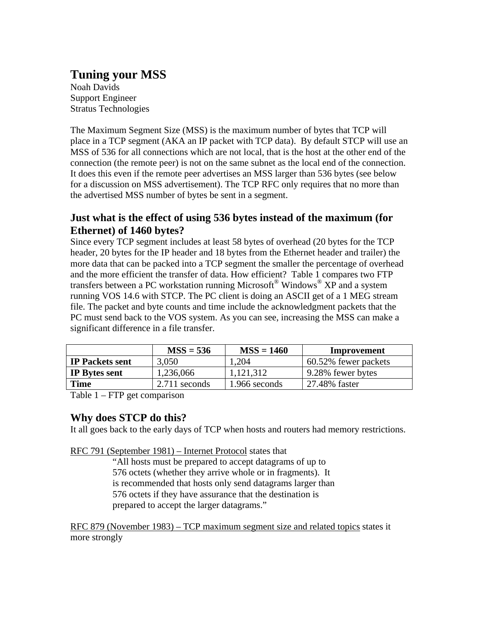# **Tuning your MSS**

Noah Davids Support Engineer Stratus Technologies

The Maximum Segment Size (MSS) is the maximum number of bytes that TCP will place in a TCP segment (AKA an IP packet with TCP data). By default STCP will use an MSS of 536 for all connections which are not local, that is the host at the other end of the connection (the remote peer) is not on the same subnet as the local end of the connection. It does this even if the remote peer advertises an MSS larger than 536 bytes (see below for a discussion on MSS advertisement). The TCP RFC only requires that no more than the advertised MSS number of bytes be sent in a segment.

# **Just what is the effect of using 536 bytes instead of the maximum (for Ethernet) of 1460 bytes?**

Since every TCP segment includes at least 58 bytes of overhead (20 bytes for the TCP header, 20 bytes for the IP header and 18 bytes from the Ethernet header and trailer) the more data that can be packed into a TCP segment the smaller the percentage of overhead and the more efficient the transfer of data. How efficient? Table 1 compares two FTP transfers between a PC workstation running Microsoft® Windows® XP and a system running VOS 14.6 with STCP. The PC client is doing an ASCII get of a 1 MEG stream file. The packet and byte counts and time include the acknowledgment packets that the PC must send back to the VOS system. As you can see, increasing the MSS can make a significant difference in a file transfer.

|                        | $MSS = 536$     | $MSS = 1460$  | Improvement          |
|------------------------|-----------------|---------------|----------------------|
| <b>IP Packets sent</b> | 3,050           | .204          | 60.52% fewer packets |
| <b>IP</b> Bytes sent   | 1,236,066       | 1,121,312     | 9.28% fewer bytes    |
| <b>Time</b>            | $2.711$ seconds | 1.966 seconds | 27.48% faster        |

Table 1 – FTP get comparison

## **Why does STCP do this?**

It all goes back to the early days of TCP when hosts and routers had memory restrictions.

RFC 791 (September 1981) – Internet Protocol states that

"All hosts must be prepared to accept datagrams of up to 576 octets (whether they arrive whole or in fragments). It is recommended that hosts only send datagrams larger than 576 octets if they have assurance that the destination is prepared to accept the larger datagrams."

RFC 879 (November 1983) – TCP maximum segment size and related topics states it more strongly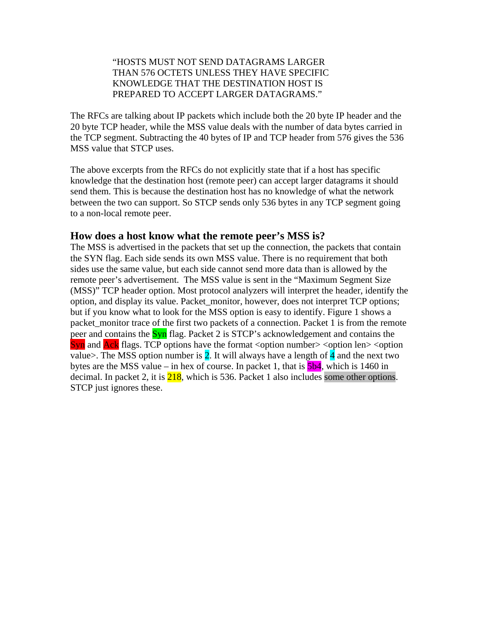#### "HOSTS MUST NOT SEND DATAGRAMS LARGER THAN 576 OCTETS UNLESS THEY HAVE SPECIFIC KNOWLEDGE THAT THE DESTINATION HOST IS PREPARED TO ACCEPT LARGER DATAGRAMS."

The RFCs are talking about IP packets which include both the 20 byte IP header and the 20 byte TCP header, while the MSS value deals with the number of data bytes carried in the TCP segment. Subtracting the 40 bytes of IP and TCP header from 576 gives the 536 MSS value that STCP uses.

The above excerpts from the RFCs do not explicitly state that if a host has specific knowledge that the destination host (remote peer) can accept larger datagrams it should send them. This is because the destination host has no knowledge of what the network between the two can support. So STCP sends only 536 bytes in any TCP segment going to a non-local remote peer.

#### **How does a host know what the remote peer's MSS is?**

The MSS is advertised in the packets that set up the connection, the packets that contain the SYN flag. Each side sends its own MSS value. There is no requirement that both sides use the same value, but each side cannot send more data than is allowed by the remote peer's advertisement. The MSS value is sent in the "Maximum Segment Size (MSS)" TCP header option. Most protocol analyzers will interpret the header, identify the option, and display its value. Packet\_monitor, however, does not interpret TCP options; but if you know what to look for the MSS option is easy to identify. Figure 1 shows a packet\_monitor trace of the first two packets of a connection. Packet 1 is from the remote peer and contains the **Syn** flag. Packet 2 is STCP's acknowledgement and contains the  $\frac{\text{Syn}}{\text{An}}$  and  $\frac{\text{Acknowled}}{\text{Ack}}$  flags. TCP options have the format <option number> <option len> <option value>. The MSS option number is  $2$ . It will always have a length of  $4$  and the next two bytes are the MSS value – in hex of course. In packet 1, that is  $\frac{5b4}{1}$ , which is 1460 in decimal. In packet 2, it is  $\frac{218}{218}$ , which is 536. Packet 1 also includes some other options. STCP just ignores these.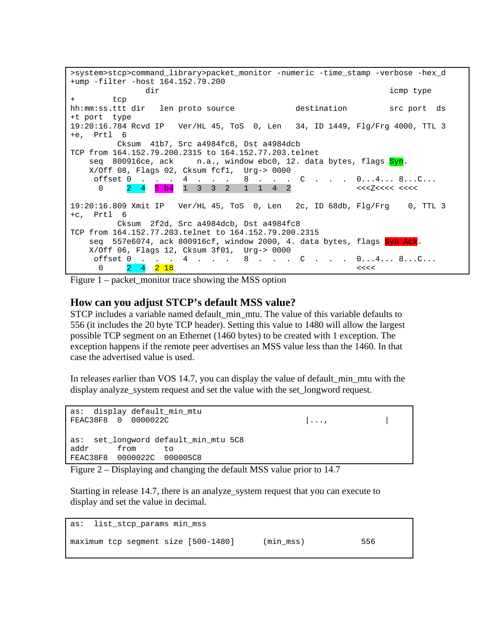>system>stcp>command\_library>packet\_monitor -numeric -time\_stamp -verbose -hex\_d +ump -filter -host 164.152.79.200 dir icmp type tcp hh:mm:ss.ttt dir len proto source destination src port ds +t port type 19:20:16.784 Rcvd IP Ver/HL 45, ToS 0, Len 34, ID 1449, Flg/Frg 4000, TTL 3 +e, Prtl 6 Cksum 41b7, Src a4984fc8, Dst a4984dcb TCP from 164.152.79.200.2315 to 164.152.77.203.telnet seq 800916ce, ack n.a., window ebc0, 12. data bytes, flags Syn. X/Off 08, Flags 02, Cksum fcf1, Urg-> 0000 offset 0 . . . 4 . . . 8 . . . C . . . 0...4... 8...C... 0 2 4 5 b4 1 3 3 2 1 1 4 2 <<<Z<<<< <<<< 19:20:16.809 Xmit IP Ver/HL 45, ToS 0, Len 2c, ID 68db, Flg/Frg 0, TTL 3 +c, Prtl 6 Cksum 2f2d, Src a4984dcb, Dst a4984fc8 TCP from 164.152.77.203.telnet to 164.152.79.200.2315 seq 557e6074, ack 800916cf, window 2000, 4. data bytes, flags Syn Ack. X/Off 06, Flags 12, Cksum 3f01, Urg-> 0000 4 . . . 8 . . . C . . . 0...4... 8...C... 0  $2 \quad 4 \quad 2 \quad 18$ 

Figure  $1$  – packet monitor trace showing the MSS option

#### **How can you adjust STCP's default MSS value?**

STCP includes a variable named default min mtu. The value of this variable defaults to 556 (it includes the 20 byte TCP header). Setting this value to 1480 will allow the largest possible TCP segment on an Ethernet (1460 bytes) to be created with 1 exception. The exception happens if the remote peer advertises an MSS value less than the 1460. In that case the advertised value is used.

In releases earlier than VOS 14.7, you can display the value of default\_min\_mtu with the display analyze system request and set the value with the set longword request.

```
as: display default min mtu
FEAC38F8 0 0000022C |..., | 
as: set_longword default_min_mtu 5C8 
addr from to 
FEAC38F8 0000022C 000005C8
```
Figure 2 – Displaying and changing the default MSS value prior to 14.7

Starting in release 14.7, there is an analyze\_system request that you can execute to display and set the value in decimal.

```
as: list_stcp_params min_mss 
maximum tcp segment size [500-1480] (min_mss) 556
```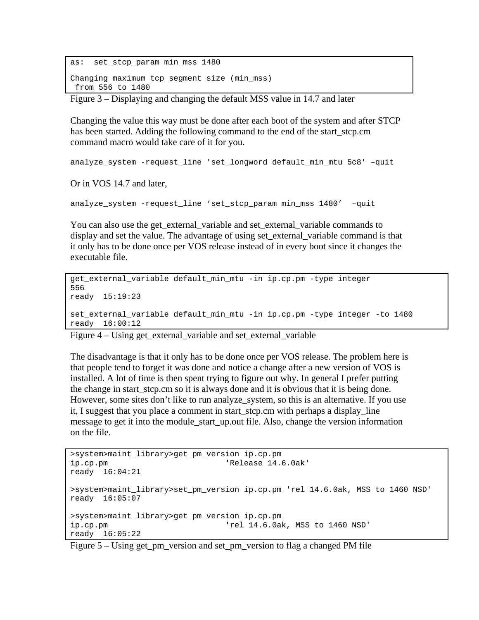```
as: set stcp param min mss 1480
Changing maximum tcp segment size (min_mss) 
 from 556 to 1480
```
Figure 3 – Displaying and changing the default MSS value in 14.7 and later

Changing the value this way must be done after each boot of the system and after STCP has been started. Adding the following command to the end of the start\_stcp.cm command macro would take care of it for you.

analyze\_system -request\_line 'set\_longword default\_min\_mtu 5c8' –quit

Or in VOS 14.7 and later,

analyze system -request line 'set stcp param min mss 1480' -quit

You can also use the get external variable and set external variable commands to display and set the value. The advantage of using set\_external\_variable command is that it only has to be done once per VOS release instead of in every boot since it changes the executable file.

```
get_external_variable default_min_mtu -in ip.cp.pm -type integer 
556 
ready 15:19:23 
set_external_variable default_min_mtu -in ip.cp.pm -type integer -to 1480 
ready 16:00:12
```
Figure 4 – Using get\_external\_variable and set\_external\_variable

The disadvantage is that it only has to be done once per VOS release. The problem here is that people tend to forget it was done and notice a change after a new version of VOS is installed. A lot of time is then spent trying to figure out why. In general I prefer putting the change in start stcp.cm so it is always done and it is obvious that it is being done. However, some sites don't like to run analyze\_system, so this is an alternative. If you use it, I suggest that you place a comment in start\_stcp.cm with perhaps a display\_line message to get it into the module\_start\_up.out file. Also, change the version information on the file.

```
>system>maint_library>get_pm_version ip.cp.pm 
ip.cp.pm 'Release 14.6.0ak' 
ready 16:04:21 
>system>maint_library>set_pm_version ip.cp.pm 'rel 14.6.0ak, MSS to 1460 NSD' 
ready 16:05:07 
>system>maint_library>get_pm_version ip.cp.pm 
ip.cp.pm 'rel 14.6.0ak, MSS to 1460 NSD' 
ready 16:05:22
```
Figure 5 – Using get\_pm\_version and set\_pm\_version to flag a changed PM file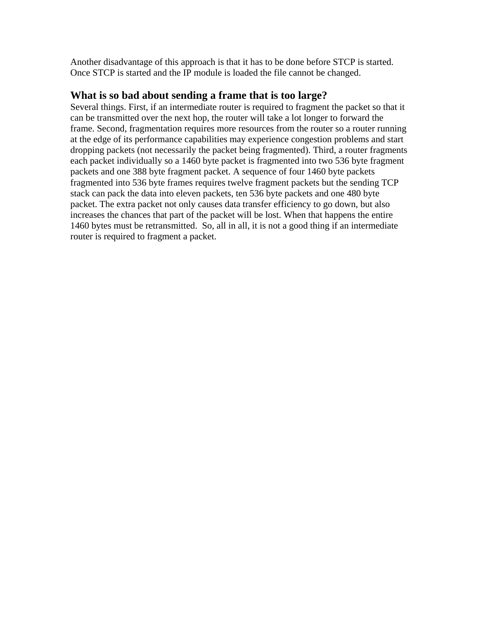Another disadvantage of this approach is that it has to be done before STCP is started. Once STCP is started and the IP module is loaded the file cannot be changed.

## **What is so bad about sending a frame that is too large?**

Several things. First, if an intermediate router is required to fragment the packet so that it can be transmitted over the next hop, the router will take a lot longer to forward the frame. Second, fragmentation requires more resources from the router so a router running at the edge of its performance capabilities may experience congestion problems and start dropping packets (not necessarily the packet being fragmented). Third, a router fragments each packet individually so a 1460 byte packet is fragmented into two 536 byte fragment packets and one 388 byte fragment packet. A sequence of four 1460 byte packets fragmented into 536 byte frames requires twelve fragment packets but the sending TCP stack can pack the data into eleven packets, ten 536 byte packets and one 480 byte packet. The extra packet not only causes data transfer efficiency to go down, but also increases the chances that part of the packet will be lost. When that happens the entire 1460 bytes must be retransmitted. So, all in all, it is not a good thing if an intermediate router is required to fragment a packet.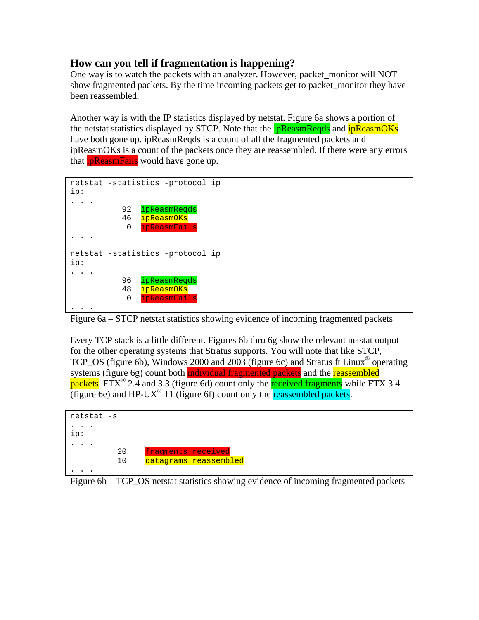## **How can you tell if fragmentation is happening?**

One way is to watch the packets with an analyzer. However, packet monitor will NOT show fragmented packets. By the time incoming packets get to packet\_monitor they have been reassembled.

Another way is with the IP statistics displayed by netstat. Figure 6a shows a portion of the netstat statistics displayed by STCP. Note that the **ipReasmReqds** and **ipReasmOKs** have both gone up. ipReasmReqds is a count of all the fragmented packets and ipReasmOKs is a count of the packets once they are reassembled. If there were any errors that **ipReasmFails** would have gone up.

```
netstat -statistics -protocol ip 
ip: 
. . . 
           92 ipReasmReqds
            46 ipReasmOKs
            0 ipReasmFails
. . . 
netstat -statistics -protocol ip 
ip: 
\ldots .
            96 ipReasmReqds
            48 ipReasmOKs
            0 ipReasmFails
. . . . .
```
Figure 6a – STCP netstat statistics showing evidence of incoming fragmented packets

Every TCP stack is a little different. Figures 6b thru 6g show the relevant netstat output for the other operating systems that Stratus supports. You will note that like STCP, TCP\_OS (figure 6b), Windows 2000 and 2003 (figure 6c) and Stratus ft Linux® operating systems (figure 6g) count both individual fragmented packets and the reassembled packets. FTX<sup>®</sup> 2.4 and 3.3 (figure 6d) count only the **received fragments** while FTX 3.4 (figure 6e) and HP-UX<sup>®</sup> 11 (figure 6f) count only the reassembled packets.



Figure 6b – TCP\_OS netstat statistics showing evidence of incoming fragmented packets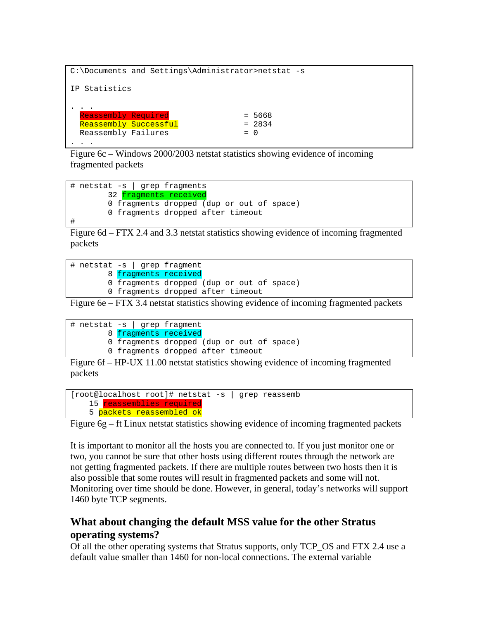```
C:\Documents and Settings\Administrator>netstat -s 
IP Statistics 
. . . . .
  Reassembly Required = 5668 
 Reassembly Successful
 Reassembly Failures = 0
. . . . .
```
Figure 6c – Windows 2000/2003 netstat statistics showing evidence of incoming fragmented packets

```
# netstat -s | grep fragments 
        32 fragments received
         0 fragments dropped (dup or out of space) 
         0 fragments dropped after timeout 
#
```
Figure 6d – FTX 2.4 and 3.3 netstat statistics showing evidence of incoming fragmented packets

|  |  |  |  | $\#$ netstat -s   grep fragment           |  |
|--|--|--|--|-------------------------------------------|--|
|  |  |  |  | 8 fragments received                      |  |
|  |  |  |  | 0 fragments dropped (dup or out of space) |  |
|  |  |  |  | 0 fragments dropped after timeout         |  |

Figure 6e – FTX 3.4 netstat statistics showing evidence of incoming fragmented packets

```
# netstat -s | grep fragment 
        8 fragments received
         0 fragments dropped (dup or out of space) 
         0 fragments dropped after timeout
```
Figure 6f – HP-UX 11.00 netstat statistics showing evidence of incoming fragmented packets

```
[root@localhost root]# netstat -s | grep reassemb 
   15 reassemblies required
   5 packets reassembled ok
```
Figure 6g – ft Linux netstat statistics showing evidence of incoming fragmented packets

It is important to monitor all the hosts you are connected to. If you just monitor one or two, you cannot be sure that other hosts using different routes through the network are not getting fragmented packets. If there are multiple routes between two hosts then it is also possible that some routes will result in fragmented packets and some will not. Monitoring over time should be done. However, in general, today's networks will support 1460 byte TCP segments.

## **What about changing the default MSS value for the other Stratus operating systems?**

Of all the other operating systems that Stratus supports, only TCP\_OS and FTX 2.4 use a default value smaller than 1460 for non-local connections. The external variable